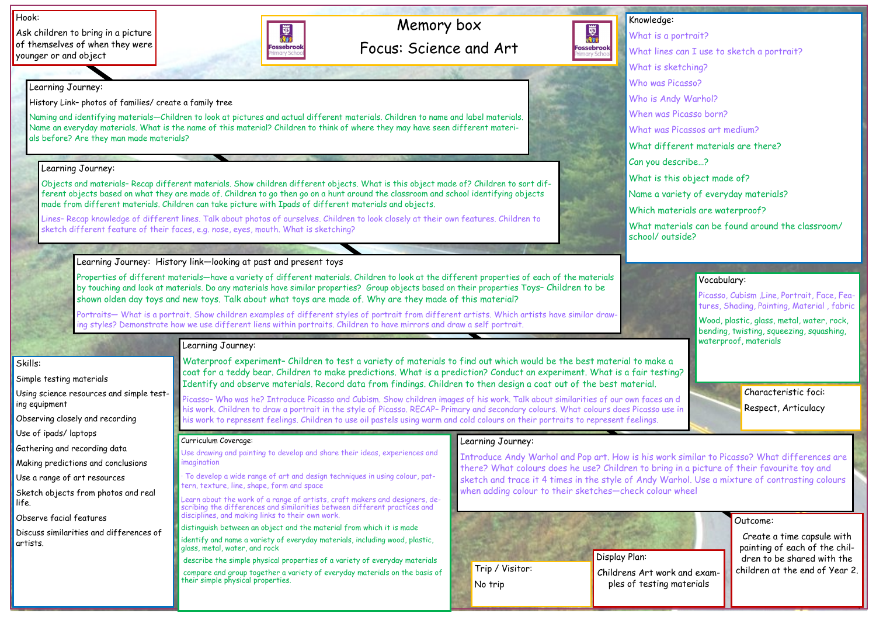## Memory box Focus: Science and Art

#### Hook:

Ask children to bring in a picture of themselves of when they were younger or and object



### Outcome:

Create a time capsule with painting of each of the children to be shared with the children at the end of Year 2.

Knowledge:

國

**Fossebrook** 

- What is a portrait?
- What lines can I use to sketch a portrait?
- What is sketching?
- Who was Picasso?
- Who is Andy Warhol?
- When was Picasso born?
- What was Picassos art medium?
- What different materials are there?
- Can you describe…?
- What is this object made of?
- Name a variety of everyday materials?
- Which materials are waterproof?
- What materials can be found around the classroom/ school/ outside?

Skills:

Simple testing materials

Using science resources and simple testing equipment

Observing closely and recording

Use of ipads/ laptops

Gathering and recording data

Making predictions and conclusions

Use a range of art resources

Sketch objects from photos and real life.

Observe facial features

Discuss similarities and differences of artists.

Learning Journey:

History Link– photos of families/ create a family tree

Naming and identifying materials—Children to look at pictures and actual different materials. Children to name and label materials. Name an everyday materials. What is the name of this material? Children to think of where they may have seen different materials before? Are they man made materials?

#### Learning Journey:

Objects and materials– Recap different materials. Show children different objects. What is this object made of? Children to sort different objects based on what they are made of. Children to go then go on a hunt around the classroom and school identifying objects made from different materials. Children can take picture with Ipads of different materials and objects.

Lines– Recap knowledge of different lines. Talk about photos of ourselves. Children to look closely at their own features. Children to sketch different feature of their faces, e.g. nose, eyes, mouth. What is sketching?

> Use drawing and painting to develop and share their ideas, experiences and magination

Learning Journey: History link—looking at past and present toys

Properties of different materials—have a variety of different materials. Children to look at the different properties of each of the materials by touching and look at materials. Do any materials have similar properties? Group objects based on their properties Toys– Children to be shown olden day toys and new toys. Talk about what toys are made of. Why are they made of this material?

Picasso, Cubism, Line, Portrait, Face, Features, Shading, Painting, Material , fabric

Portraits— What is a portrait. Show children examples of different styles of portrait from different artists. Which artists have similar drawing styles? Demonstrate how we use different liens within portraits. Children to have mirrors and draw a self portrait.

### Learning Journey:

Waterproof experiment– Children to test a variety of materials to find out which would be the best material to make a coat for a teddy bear. Children to make predictions. What is a prediction? Conduct an experiment. What is a fair testing? Identify and observe materials. Record data from findings. Children to then design a coat out of the best material.

Picasso– Who was he? Introduce Picasso and Cubism. Show children images of his work. Talk about similarities of our own faces an d his work. Children to draw a portrait in the style of Picasso. RECAP– Primary and secondary colours. What colours does Picasso use in his work to represent feelings. Children to use oil pastels using warm and cold colours on their portraits to represent feelings.

#### Learning Journey:

Introduce Andy Warhol and Pop art. How is his work similar to Picasso? What differences are there? What colours does he use? Children to bring in a picture of their favourite toy and sketch and trace it 4 times in the style of Andy Warhol. Use a mixture of contrasting colours when adding colour to their sketches—check colour wheel

#### Curriculum Coverage:

· To develop a wide range of art and design techniques in using colour, pattern, texture, line, shape, form and space

Learn about the work of a range of artists, craft makers and designers, describing the differences and similarities between different practices and disciplines, and making links to their own work.

distinguish between an object and the material from which it is made

identify and name a variety of everyday materials, including wood, plastic, glass, metal, water, and rock

describe the simple physical properties of a variety of everyday materials

compare and group together a variety of everyday materials on the basis of their simple physical properties.

### Vocabulary:

Wood, plastic, glass, metal, water, rock, bending, twisting, squeezing, squashing, waterproof, materials



Characteristic foci: Respect, Articulacy